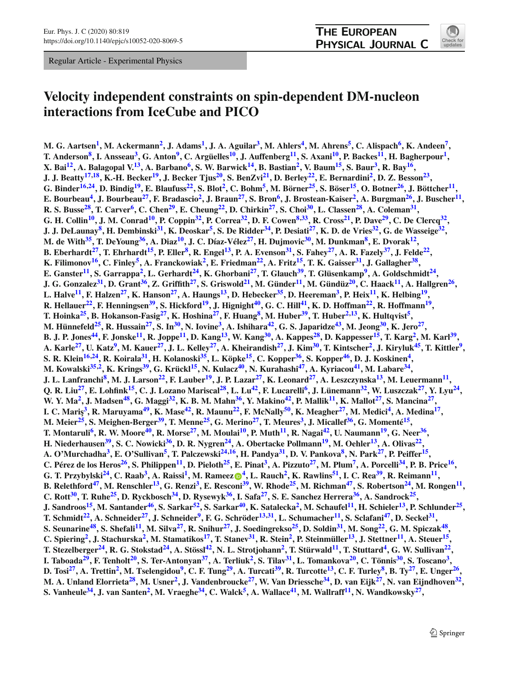Regular Article - Experimental Physics



# **Velocity independent constraints on spin-dependent DM-nucleon interactions from IceCube and PICO**

**M. G. Aartsen<sup>1</sup>, M. Ackermann<sup>2</sup>, J. Adams<sup>1</sup>, J. A. Aguilar<sup>3</sup>, M. Ahlers<sup>4</sup>, M. Ahrens<sup>5</sup>, C. Alispach<sup>6</sup>, K. Andeen<sup>7</sup>, T. Anderson[8,](#page-1-6) I. Anssea[u3,](#page-1-1) G. Anto[n9,](#page-1-7) C. Argüelle[s10,](#page-1-8) J. Auffenber[g11,](#page-1-9) S. Axan[i10,](#page-1-8) P. Backe[s11,](#page-1-9) H. Bagherpou[r1,](#page-1-0) X.** Bai<sup>12</sup>, A. Balagopal V.<sup>13</sup>, A. Barbano<sup>6</sup>, S. W. Barwick<sup>14</sup>, B. Bastian<sup>2</sup>, V. Baum<sup>15</sup>, S. Baur<sup>3</sup>, R. Bay<sup>16</sup>, **J. J. Beatty[17](#page-1-15)[,18,](#page-1-16) K.-H. Becke[r19,](#page-1-17) J. Becker Tju[s20,](#page-1-18) S. BenZv[i21,](#page-1-19) D. Berle[y22,](#page-1-20) E. Bernardin[i2,](#page-1-0) D. Z. Besso[n23,](#page-1-21)** G. Binder<sup>[16](#page-1-14),24</sup>, D. Bindig<sup>19</sup>, E. Blaufuss<sup>22</sup>, S. Blot<sup>2</sup>, C. Bohm<sup>5</sup>, M. Börner<sup>25</sup>, S. Böser<sup>15</sup>, O. Botner<sup>26</sup>, J. Böttcher<sup>11</sup> E. Bourbeau<sup>4</sup>, J. Bourbeau<sup>27</sup>, F. Bradascio<sup>2</sup>, J. Braun<sup>27</sup>, S. Bron<sup>6</sup>, J. Brostean-Kaiser<sup>2</sup>, A. Burgman<sup>26</sup>, J. Buscher<sup>11</sup>, **R. S. Buss[e28,](#page-1-26) T. Carve[r6,](#page-1-4) C. Che[n29,](#page-1-27) E. Cheun[g22,](#page-1-20) D. Chirki[n27,](#page-1-25) S. Cho[i30,](#page-1-28) L. Classe[n28,](#page-1-26) A. Colema[n31,](#page-1-29)** G. H. Collin<sup>10</sup>, J. M. Conrad<sup>10</sup>, P. Coppin<sup>32</sup>, P. Correa<sup>32</sup>, D. F. Cowen<sup>8,33</sup>, R. Cross<sup>21</sup>, P. Dave<sup>29</sup>, C. De Clercq<sup>32</sup>, **J. J. DeLaunay[8,](#page-1-6) H. Dembinsk[i31,](#page-1-29) K. Deoska[r5,](#page-1-3) S. De Ridde[r34,](#page-1-32) P. Desiat[i27,](#page-1-25) K. D. de Vrie[s32,](#page-1-30) G. de Wasseig[e32,](#page-1-30) M. de Wit[h35,](#page-1-33) T. DeYoun[g36,](#page-1-34) A. Dia[z10,](#page-1-8) J. C. Díaz-Véle[z27,](#page-1-25) H. Dujmovi[c30,](#page-1-28) M. Dunkma[n8,](#page-1-6) E. Dvora[k12,](#page-1-10) B. Eberhardt[27,](#page-1-25) T. Ehrhard[t15,](#page-1-13) P. Elle[r8,](#page-1-6) R. Enge[l13,](#page-1-11) P. A. Evenso[n31,](#page-1-29) S. Fahe[y27,](#page-1-25) A. R. Fazel[y37,](#page-1-35) J. Feld[e22,](#page-1-20) K. Filimonov**<sup>16</sup>, C. Finlev<sup>5</sup>, A. Franckowiak<sup>2</sup>, E. Friedman<sup>22</sup>, A. Fritz<sup>15</sup>, T. K. Gaisser<sup>31</sup>, J. Gallagher<sup>38</sup>, **E. Ganster**<sup>11</sup>, S. Garrappa<sup>2</sup>, L. Gerhardt<sup>24</sup>, K. Ghorbani<sup>27</sup>, T. Glauch<sup>39</sup>, T. Glüsenkamp<sup>9</sup>, A. Goldschmidt<sup>24</sup>, **J. G. Gonzalez[31,](#page-1-29) D. Gran[t36,](#page-1-34) Z. Griffit[h27,](#page-1-25) S. Griswol[d21,](#page-1-19) M. Günde[r11,](#page-1-9) M. Gündü[z20,](#page-1-18) C. Haac[k11,](#page-1-9) A. Hallgre[n26,](#page-1-24) L. Halve[11,](#page-1-9) F. Halze[n27,](#page-1-25) K. Hanso[n27,](#page-1-25) A. Haung[s13,](#page-1-11) D. Hebecke[r35,](#page-1-33) D. Heerema[n3,](#page-1-1) P. Hei[x11,](#page-1-9) K. Helbin[g19,](#page-1-17) R. Hellauer[22,](#page-1-20) F. Henningse[n39,](#page-1-37) S. Hickfor[d19,](#page-1-17) J. Hignigh[t40,](#page-1-38) G. C. Hil[l41,](#page-1-39) K. D. Hoffma[n22,](#page-1-20) R. Hoffman[n19,](#page-1-17) T. Hoinka[25,](#page-1-23) B. Hokanson-Fasi[g27,](#page-1-25) K. Hoshin[a27,](#page-1-25) F. Huan[g8,](#page-1-6) M. Hube[r39,](#page-1-37) T. Hube[r2](#page-1-0)[,13,](#page-1-11) K. Hultqvis[t5,](#page-1-3) M. Hünnefeld[25,](#page-1-23) R. Hussai[n27,](#page-1-25) S. I[n30,](#page-1-28) N. Iovin[e3,](#page-1-1) A. Ishihar[a42,](#page-1-40) G. S. Japaridz[e43,](#page-1-41) M. Jeon[g30,](#page-1-28) K. Jer[o27,](#page-1-25)** B. J. P. Jones<sup>44</sup>, F. Jonske<sup>11</sup>, R. Joppe<sup>11</sup>, D. Kang<sup>13</sup>, W. Kang<sup>30</sup>, A. Kappes<sup>28</sup>, D. Kappesser<sup>15</sup>, T. Karg<sup>2</sup>, M. Karl<sup>39</sup>, A. Karle<sup>27</sup>, U. Katz<sup>9</sup>, M. Kauer<sup>27</sup>, J. L. Kelley<sup>27</sup>, A. Kheirandish<sup>27</sup>, J. Kim<sup>30</sup>, T. Kintscher<sup>2</sup>, J. Kiryluk<sup>45</sup>, T. Kittler<sup>9</sup>, **S. R. Klei[n16](#page-1-14)[,24,](#page-1-22) R. Koiral[a31,](#page-1-29) H. Kolanosk[i35,](#page-1-33) L. Köpk[e15,](#page-1-13) C. Koppe[r36,](#page-1-34) S. Koppe[r46,](#page-1-44) D. J. Koskine[n4,](#page-1-2) M. Kowalski**<sup>[35](#page-1-33),2</sup>, **K. Krings<sup>39</sup>, G. Krückl<sup>15</sup>, N. Kulacz<sup>40</sup>, N. Kurahashi<sup>47</sup>, A. Kyriacou<sup>41</sup>, M. Labare<sup>34</sup>, J. L. Lanfranchi[8,](#page-1-6) M. J. Larso[n22,](#page-1-20) F. Laube[r19,](#page-1-17) J. P. Laza[r27,](#page-1-25) K. Leonar[d27,](#page-1-25) A. Leszczynsk[a13,](#page-1-11) M. Leuerman[n11,](#page-1-9)** Q. R. Liu<sup>27</sup>, E. Lohfink<sup>15</sup>, C. J. Lozano Mariscal<sup>28</sup>, L. Lu<sup>42</sup>, F. Lucarelli<sup>6</sup>, J. Lünemann<sup>32</sup>, W. Luszczak<sup>27</sup>, Y. Lyu<sup>24</sup>, W. Y. Ma<sup>2</sup>, J. Madsen<sup>48</sup>, G. Maggi<sup>32</sup>, K. B. M. Mahn<sup>36</sup>, Y. Makino<sup>42</sup>, P. Mallik<sup>11</sup>, K. Mallot<sup>27</sup>, S. Mancina<sup>27</sup>, **I. C. Mari¸s[3,](#page-1-1) R. Maruyam[a49,](#page-1-47) K. Mas[e42,](#page-1-40) R. Maun[u22,](#page-1-20) F. McNall[y50,](#page-1-48) K. Meaghe[r27,](#page-1-25) M. Medic[i4,](#page-1-2) A. Medin[a17,](#page-1-15) M. Meier[25,](#page-1-23) S. Meighen-Berge[r39,](#page-1-37) T. Menn[e25,](#page-1-23) G. Merin[o27,](#page-1-25) T. Meure[s3,](#page-1-1) J. Micalle[f36,](#page-1-34) G. Moment[é15,](#page-1-13) T. Montaruli[6,](#page-1-4) R. W. Moor[e40,](#page-1-38) R. Mors[e27,](#page-1-25) M. Moula[i10,](#page-1-8) P. Mut[h11,](#page-1-9) R. Naga[i42,](#page-1-40) U. Nauman[n19,](#page-1-17) G. Nee[r36,](#page-1-34) H. Niederhausen[39,](#page-1-37) S. C. Nowick[i36,](#page-1-34) D. R. Nygre[n24,](#page-1-22) A. Obertacke Pollman[n19,](#page-1-17) M. Oehle[r13,](#page-1-11) A. Oliva[s22,](#page-1-20) A. O'Murchadha[3,](#page-1-1) E. O'Sulliva[n5,](#page-1-3) T. Palczewsk[i24](#page-1-22)[,16,](#page-1-14) H. Pandy[a31,](#page-1-29) D. V. Pankov[a8,](#page-1-6) N. Par[k27,](#page-1-25) P. Peiffe[r15,](#page-1-13)** C. Pérez de los Heros<sup>26</sup>, S. Philippen<sup>11</sup>, D. Pieloth<sup>25</sup>, E. Pinat<sup>3</sup>, A. Pizzuto<sup>27</sup>, M. Plum<sup>7</sup>, A. Porcelli<sup>34</sup>, P. B. Price<sup>16</sup>, **G. T. Przybylski[24,](#page-1-22) C. Raa[b3,](#page-1-1) A. Raiss[i1,](#page-1-0) M. Rameez [4,](#page-1-2) L. Rauc[h2,](#page-1-0) K. Rawlin[s51,](#page-1-49) I. C. Re[a39,](#page-1-37) R. Reiman[n11,](#page-1-9) B. Relethford[47,](#page-1-45) M. Renschle[r13,](#page-1-11) G. Renz[i3,](#page-1-1) E. Rescon[i39,](#page-1-37) W. Rhod[e25,](#page-1-23) M. Richma[n47,](#page-1-45) S. Robertso[n24,](#page-1-22) M. Ronge[n11,](#page-1-9) C. Rott<sup>30</sup>, T. Ruhe<sup>25</sup>, D. Ryckbosch<sup>34</sup>, D. Rysewyk<sup>36</sup>, I. Safa<sup>27</sup>, S. E. Sanchez Herrera<sup>36</sup>, A. Sandrock<sup>25</sup>,** J. Sandroos<sup>15</sup>, M. Santander<sup>46</sup>, S. Sarkar<sup>52</sup>, S. Sarkar<sup>40</sup>, K. Satalecka<sup>2</sup>, M. Schaufel<sup>11</sup>, H. Schieler<sup>13</sup>, P. Schlunder<sup>25</sup>, **T. Schmidt**<sup>22</sup>, A. Schneider<sup>27</sup>, J. Schneider<sup>9</sup>, F. G. Schröder<sup>13,31</sup>, L. Schumacher<sup>11</sup>, S. Sclafani<sup>47</sup>, D. Seckel<sup>31</sup>, S. Seunarine<sup>48</sup>, S. Shefali<sup>11</sup>, M. Silva<sup>27</sup>, R. Snihur<sup>27</sup>, J. Soedingrekso<sup>25</sup>, D. Soldin<sup>31</sup>, M. Song<sup>22</sup>, G. M. Spiczak<sup>48</sup>, C. Spiering<sup>2</sup>, J. Stachurska<sup>2</sup>, M. Stamatikos<sup>17</sup>, T. Stanev<sup>31</sup>, R. Stein<sup>2</sup>, P. Steinmüller<sup>13</sup>, J. Stettner<sup>11</sup>, A. Steuer<sup>15</sup>, **T. Stezelberger**<sup>24</sup>, **R. G. Stokstad**<sup>24</sup>, **A. Stöss**<sup>142</sup>, **N. L. Strotjohann**<sup>2</sup>, **T. Stürwald**<sup>11</sup>, **T. Stuttard**<sup>4</sup>, **G. W. Sullivan**<sup>22</sup>, I. Taboada<sup>29</sup>, F. Tenholt<sup>20</sup>, S. Ter-Antonyan<sup>37</sup>, A. Terliuk<sup>2</sup>, S. Tilav<sup>31</sup>, L. Tomankova<sup>20</sup>, C. Tönnis<sup>30</sup>, S. Toscano<sup>3</sup>, D. Tosi<sup>27</sup>, A. Trettin<sup>2</sup>, M. Tselengidou<sup>9</sup>, C. F. Tung<sup>29</sup>, A. Turcati<sup>39</sup>, R. Turcotte<sup>13</sup>, C. F. Turley<sup>8</sup>, B. Ty<sup>27</sup>, E. Unger<sup>26</sup>, **M. A. Unland Elorrieta[28,](#page-1-26) M. Usne[r2,](#page-1-0) J. Vandenbrouck[e27,](#page-1-25) W. Van Driessch[e34,](#page-1-32) D. van Eij[k27,](#page-1-25) N. van Eijndhove[n32,](#page-1-30) S. Vanheule[34,](#page-1-32) J. van Sante[n2,](#page-1-0) M. Vraegh[e34,](#page-1-32) C. Walc[k5,](#page-1-3) A. Wallac[e41,](#page-1-39) M. Wallraf[f11,](#page-1-9) N. Wandkowsk[y27,](#page-1-25)**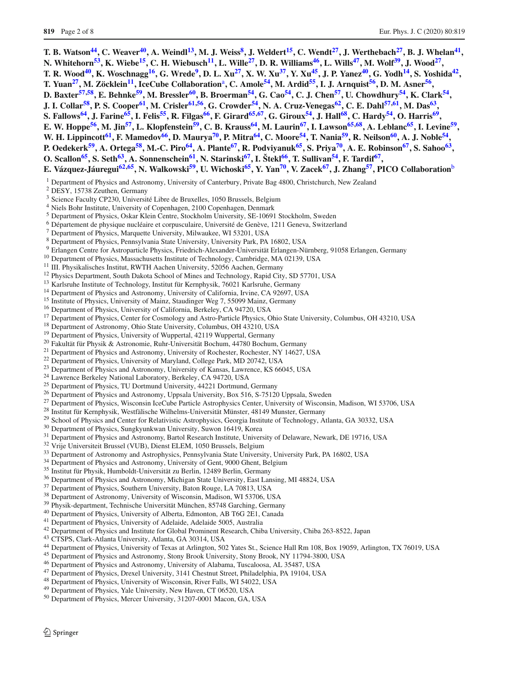T. B. Watson<sup>44</sup>, C. Weaver<sup>40</sup>, A. Weindl<sup>13</sup>, M. J. Weiss<sup>8</sup>, J. Weldert<sup>15</sup>, C. Wendt<sup>27</sup>, J. Werthebach<sup>27</sup>, B. J. Whelan<sup>41</sup>, **N. Whitehorn[53,](#page-2-1) K. Wieb[e15,](#page-1-13) C. H. Wiebusc[h11,](#page-1-9) L. Will[e27,](#page-1-25) D. R. William[s46,](#page-1-44) L. Will[s47,](#page-1-45) M. Wol[f39,](#page-1-37) J. Woo[d27,](#page-1-25)** T. R. Wood<sup>40</sup>, K. Woschnagg<sup>16</sup>, G. Wrede<sup>9</sup>, D. L. Xu<sup>27</sup>, X. W. Xu<sup>37</sup>, Y. Xu<sup>45</sup>, J. P. Yanez<sup>40</sup>, G. Yodh<sup>14</sup>, S. Yoshida<sup>42</sup>, **T. Yuan[27,](#page-1-25) M. Zöcklei[n11,](#page-1-9) IceCube Collaboration**<sup>a</sup>**, C. Amole[54,](#page-2-2) M. Ardi[d55,](#page-2-3) I. J. Arnquis[t56,](#page-2-4) D. M. Asne[r56,](#page-2-4)** D. Baxter<sup>[57](#page-2-5),58</sup>, E. Behnke<sup>59</sup>, M. Bressler<sup>60</sup>, B. Broerman<sup>54</sup>, G. Cao<sup>54</sup>, C. J. Chen<sup>57</sup>, U. Chowdhury<sup>54</sup>, K. Clark<sup>54</sup>, **J. I. Colla[r58,](#page-2-6) P. S. Coope[r61,](#page-2-9) M. Crisle[r61](#page-2-9)[,56,](#page-2-4) G. Crowde[r54,](#page-2-2) N. A. Cruz-Venega[s62,](#page-2-10) C. E. Dah[l57](#page-2-5)[,61,](#page-2-9) M. Da[s63,](#page-2-11)** S. Fallows<sup>64</sup>, J. Farine<sup>65</sup>, I. Felis<sup>55</sup>, R. Filgas<sup>66</sup>, F. Girard<sup>65,67</sup>, G. Giroux<sup>54</sup>, J. Hall<sup>68</sup>, C. Hardy<sup>54</sup>, O. Harris<sup>69</sup>, E. W. Hoppe<sup>56</sup>, M. Jin<sup>57</sup>, L. Klopfenstein<sup>59</sup>, C. B. Krauss<sup>64</sup>, M. Laurin<sup>67</sup>, I. Lawson<sup>65,68</sup>, A. Leblanc<sup>65</sup>, I. Levine<sup>59</sup>, W. H. Lippincott<sup>61</sup>, F. Mamedov<sup>66</sup>, D. Maurya<sup>70</sup>, P. Mitra<sup>64</sup>, C. Moore<sup>54</sup>, T. Nania<sup>59</sup>, R. Neilson<sup>60</sup>, A. J. Noble<sup>54</sup>, P. Oedekerk<sup>59</sup>, A. Ortega<sup>58</sup>, M.-C. Piro<sup>64</sup>, A. Plante<sup>67</sup>, R. Podviyanuk<sup>65</sup>, S. Priya<sup>70</sup>, A. E. Robinson<sup>67</sup>, S. Sahoo<sup>63</sup>, **O.** Scallon<sup>65</sup>, S. Seth<sup>63</sup>, A. Sonnenschein<sup>61</sup>, N. Starinski<sup>67</sup>, I. Štekl<sup>66</sup>, T. Sullivan<sup>54</sup>, F. Tardif<sup>67</sup>, **E. Vázquez-Jáuregui[62](#page-2-10)[,65,](#page-2-13) N. Walkowsk[i59,](#page-2-7) U. Wichosk[i65,](#page-2-13) Y. Ya[n70,](#page-2-18) V. Zace[k67,](#page-2-15) J. Zhan[g57,](#page-2-5) PICO Collaboration**<sup>b</sup>

<span id="page-1-1"></span><span id="page-1-0"></span><sup>1</sup> Department of Physics and Astronomy, University of Canterbury, Private Bag 4800, Christchurch, New Zealand

- <span id="page-1-2"></span><sup>2</sup> DESY, 15738 Zeuthen, Germany
- <span id="page-1-3"></span><sup>3</sup> Science Faculty CP230, Université Libre de Bruxelles, 1050 Brussels, Belgium
- <span id="page-1-4"></span><sup>4</sup> Niels Bohr Institute, University of Copenhagen, 2100 Copenhagen, Denmark
- <span id="page-1-5"></span><sup>5</sup> Department of Physics, Oskar Klein Centre, Stockholm University, SE-10691 Stockholm, Sweden
- <sup>6</sup> Département de physique nucléaire et corpusculaire, Université de Genève, 1211 Geneva, Switzerland
- <span id="page-1-9"></span><span id="page-1-8"></span><span id="page-1-7"></span><span id="page-1-6"></span><sup>7</sup> Department of Physics, Marquette University, Milwaukee, WI 53201, USA
- <sup>8</sup> Department of Physics, Pennsylvania State University, University Park, PA 16802, USA
- <sup>9</sup> Erlangen Centre for Astroparticle Physics, Friedrich-Alexander-Universität Erlangen-Nürnberg, 91058 Erlangen, Germany<br><sup>10</sup> Department of Physics, Massachusetts Institute of Technology, Cambridge, MA 02139, USA<br><sup>11</sup> II
- <span id="page-1-11"></span><span id="page-1-10"></span>
- 
- 
- <span id="page-1-14"></span><span id="page-1-13"></span><span id="page-1-12"></span>
- 
- <span id="page-1-16"></span><span id="page-1-15"></span>
- <span id="page-1-17"></span>
- <sup>15</sup> Institute of Physics, University of Mainz, Staudinger Weg 7, 55099 Mainz, Germany<br><sup>16</sup> Department of Physics, University of California, Berkeley, CA 94720, USA<br><sup>17</sup> Department of Physics, Center for Cosmology and Ast
- <span id="page-1-18"></span>
- <span id="page-1-20"></span><span id="page-1-19"></span>
- <span id="page-1-21"></span>
- 
- <span id="page-1-23"></span><span id="page-1-22"></span>
- 
- 
- 
- <span id="page-1-28"></span><span id="page-1-27"></span><span id="page-1-26"></span><span id="page-1-25"></span><span id="page-1-24"></span>
- <sup>25</sup> Department of Physics, TU Dortmund University, 44221 Dortmund, Germany<br><sup>26</sup> Department of Physics and Astronomy, Uppsala University, Box 516, S-75120 Uppsala, Sweden<br><sup>27</sup> Department of Physics, Wisconsin IceCube Part
- 
- <span id="page-1-31"></span><span id="page-1-30"></span><span id="page-1-29"></span>
- 
- 
- 
- 
- <span id="page-1-35"></span><span id="page-1-34"></span><span id="page-1-33"></span><span id="page-1-32"></span>
- 
- <span id="page-1-37"></span><span id="page-1-36"></span>
- 
- 
- <span id="page-1-40"></span><span id="page-1-39"></span><span id="page-1-38"></span>
- 
- 
- 
- <span id="page-1-45"></span><span id="page-1-44"></span><span id="page-1-43"></span><span id="page-1-42"></span><span id="page-1-41"></span>
- <sup>35</sup> Institut für Physik, Humboldt-Universität zu Berlin, 12489 Berlin, Germany<br><sup>36</sup> Department of Physics and Astronomy, Michigan State University, East Lansing, MI 48824, USA<br><sup>37</sup> Department of Physics, Southern Universi
- <sup>45</sup> Department of Physics and Astronomy, Stony Brook University, Stony Brook, NY 11794-3800, USA <sup>46</sup> Department of Physics and Astronomy, University of Alabama, Tuscaloosa, AL 35487, USA <sup>47</sup> Department of Physics, Drex
- <span id="page-1-47"></span><span id="page-1-46"></span>
- 
- 
- <span id="page-1-49"></span><span id="page-1-48"></span>
- <sup>50</sup> Department of Physics, Mercer University, 31207-0001 Macon, GA, USA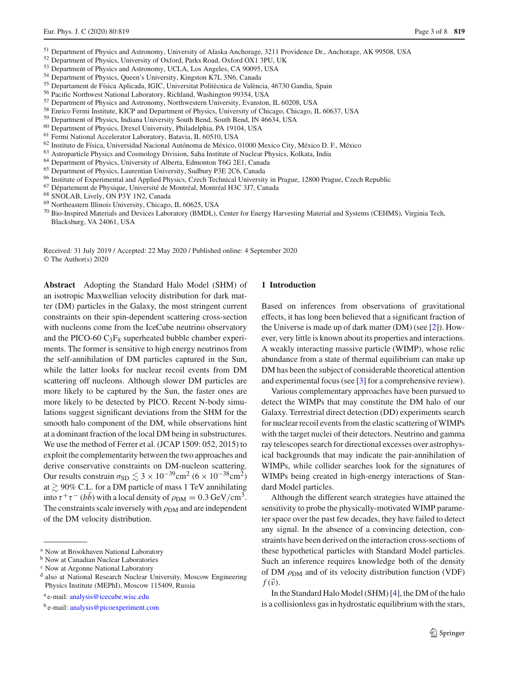- <sup>51</sup> Department of Physics and Astronomy, University of Alaska Anchorage, 3211 Providence Dr., Anchorage, AK 99508, USA
- <sup>52</sup> Department of Physics, University of Oxford, Parks Road, Oxford OX1 3PU, UK
- <sup>53</sup> Department of Physics and Astronomy, UCLA, Los Angeles, CA 90095, USA
- <sup>54</sup> Department of Physics, Queen's University, Kingston K7L 3N6, Canada
- <sup>55</sup> Departament de Física Aplicada, IGIC, Universitat Politècnica de València, 46730 Gandia, Spain
- <sup>56</sup> Pacific Northwest National Laboratory, Richland, Washington 99354, USA
- <sup>57</sup> Department of Physics and Astronomy, Northwestern University, Evanston, IL 60208, USA
- <sup>58</sup> Enrico Fermi Institute, KICP and Department of Physics, University of Chicago, Chicago, IL 60637, USA<br><sup>59</sup> Department of Physics, Indiana University South Bend, South Bend, IN 46634, USA
- 
- 
- 
- <sup>60</sup> Department of Physics, Drexel University, Philadelphia, PA 19104, USA<br>
<sup>61</sup> Fermi National Accelerator Laboratory, Batavia, IL 60510, USA<br>
<sup>62</sup> Instituto de Física, Universidad Nacional Autónoma de México, 01000 Mexi
- 
- 
- 
- <sup>66</sup> Institute of Experimental and Applied Physics, Czech Technical University in Prague, 12800 Prague, Czech Republic <sup>67</sup> Département de Physique, Université de Montréal, Montréal H3C 3J7, Canada<br><sup>68</sup> SNOLAB, Lively, ON
- 
- <span id="page-2-17"></span>
- 
- $^{70}$  Bio-Inspired Materials and Devices Laboratory (BMDL), Center for Energy Harvesting Material and Systems (CEHMS), Virginia Tech, Blacksburg, VA 24061, USA

Received: 31 July 2019 / Accepted: 22 May 2020 / Published online: 4 September 2020 © The Author(s) 2020

**Abstract** Adopting the Standard Halo Model (SHM) of an isotropic Maxwellian velocity distribution for dark matter (DM) particles in the Galaxy, the most stringent current constraints on their spin-dependent scattering cross-section with nucleons come from the IceCube neutrino observatory and the PICO-60  $C_3F_8$  superheated bubble chamber experiments. The former is sensitive to high energy neutrinos from the self-annihilation of DM particles captured in the Sun, while the latter looks for nuclear recoil events from DM scattering off nucleons. Although slower DM particles are more likely to be captured by the Sun, the faster ones are more likely to be detected by PICO. Recent N-body simulations suggest significant deviations from the SHM for the smooth halo component of the DM, while observations hint at a dominant fraction of the local DM being in substructures. We use the method of Ferrer et al. (JCAP 1509: 052, 2015) to exploit the complementarity between the two approaches and derive conservative constraints on DM-nucleon scattering. Our results constrain  $\sigma_{SD} \lesssim 3 \times 10^{-39} \text{cm}^2 \ (6 \times 10^{-38} \text{cm}^2)$ at  $\gtrsim$  90% C.L. for a DM particle of mass 1 TeV annihilating into  $\tau^+\tau^-$  (*bb*) with a local density of  $\rho_{DM} = 0.3 \text{ GeV/cm}^3$ . The constraints scale inversely with  $\rho_{DM}$  and are independent of the DM velocity distribution.

## <span id="page-2-18"></span><span id="page-2-16"></span><span id="page-2-15"></span><span id="page-2-14"></span><span id="page-2-13"></span><span id="page-2-12"></span><span id="page-2-11"></span><span id="page-2-10"></span><span id="page-2-9"></span><span id="page-2-8"></span><span id="page-2-7"></span><span id="page-2-6"></span><span id="page-2-5"></span><span id="page-2-4"></span><span id="page-2-3"></span><span id="page-2-2"></span><span id="page-2-1"></span><span id="page-2-0"></span>**1 Introduction**

Based on inferences from observations of gravitational effects, it has long been believed that a significant fraction of the Universe is made up of dark matter (DM) (see [\[2\]](#page-7-0)). However, very little is known about its properties and interactions. A weakly interacting massive particle (WIMP), whose relic abundance from a state of thermal equilibrium can make up DM has been the subject of considerable theoretical attention and experimental focus (see [\[3](#page-7-1)] for a comprehensive review).

Various complementary approaches have been pursued to detect the WIMPs that may constitute the DM halo of our Galaxy. Terrestrial direct detection (DD) experiments search for nuclear recoil events from the elastic scattering of WIMPs with the target nuclei of their detectors. Neutrino and gamma ray telescopes search for directional excesses over astrophysical backgrounds that may indicate the pair-annihilation of WIMPs, while collider searches look for the signatures of WIMPs being created in high-energy interactions of Standard Model particles.

Although the different search strategies have attained the sensitivity to probe the physically-motivated WIMP parameter space over the past few decades, they have failed to detect any signal. In the absence of a convincing detection, constraints have been derived on the interaction cross-sections of these hypothetical particles with Standard Model particles. Such an inference requires knowledge both of the density of DM  $\rho_{DM}$  and of its velocity distribution function (VDF)  $f(\vec{v})$ .

In the Standard Halo Model (SHM) [\[4\]](#page-7-2), the DM of the halo is a collisionless gas in hydrostatic equilibrium with the stars,

<sup>a</sup> Now at Brookhaven National Laboratory

<sup>b</sup> Now at Canadian Nuclear Laboratories

<sup>c</sup> Now at Argonne National Laboratory

<sup>d</sup> also at National Research Nuclear University, Moscow Engineering Physics Institute (MEPhI), Moscow 115409, Russia

<sup>a</sup> e-mail: [analysis@icecube.wisc.edu](mailto:analysis@icecube.wisc.edu)

b e-mail: [analysis@picoexperiment.com](mailto:analysis@picoexperiment.com)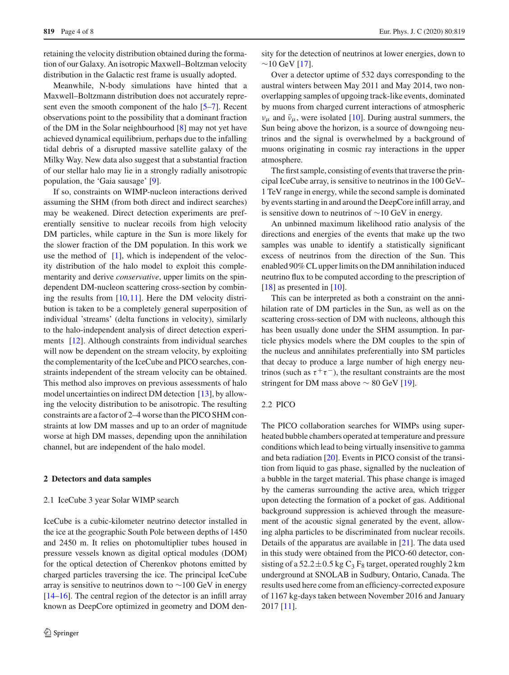retaining the velocity distribution obtained during the formation of our Galaxy. An isotropic Maxwell–Boltzman velocity distribution in the Galactic rest frame is usually adopted.

Meanwhile, N-body simulations have hinted that a Maxwell–Boltzmann distribution does not accurately represent even the smooth component of the halo [\[5](#page-7-3)[–7\]](#page-7-4). Recent observations point to the possibility that a dominant fraction of the DM in the Solar neighbourhood [\[8](#page-7-5)] may not yet have achieved dynamical equilibrium, perhaps due to the infalling tidal debris of a disrupted massive satellite galaxy of the Milky Way. New data also suggest that a substantial fraction of our stellar halo may lie in a strongly radially anisotropic population, the 'Gaia sausage' [\[9](#page-7-6)].

If so, constraints on WIMP-nucleon interactions derived assuming the SHM (from both direct and indirect searches) may be weakened. Direct detection experiments are preferentially sensitive to nuclear recoils from high velocity DM particles, while capture in the Sun is more likely for the slower fraction of the DM population. In this work we use the method of  $[1]$  $[1]$ , which is independent of the velocity distribution of the halo model to exploit this complementarity and derive *conservative*, upper limits on the spindependent DM-nucleon scattering cross-section by combining the results from [\[10](#page-7-8)[,11](#page-7-9)]. Here the DM velocity distribution is taken to be a completely general superposition of individual 'streams' (delta functions in velocity), similarly to the halo-independent analysis of direct detection experiments [\[12](#page-7-10)]. Although constraints from individual searches will now be dependent on the stream velocity, by exploiting the complementarity of the IceCube and PICO searches, constraints independent of the stream velocity can be obtained. This method also improves on previous assessments of halo model uncertainties on indirect DM detection [\[13\]](#page-7-11), by allowing the velocity distribution to be anisotropic. The resulting constraints are a factor of 2–4 worse than the PICO SHM constraints at low DM masses and up to an order of magnitude worse at high DM masses, depending upon the annihilation channel, but are independent of the halo model.

## **2 Detectors and data samples**

#### 2.1 IceCube 3 year Solar WIMP search

IceCube is a cubic-kilometer neutrino detector installed in the ice at the geographic South Pole between depths of 1450 and 2450 m. It relies on photomultiplier tubes housed in pressure vessels known as digital optical modules (DOM) for the optical detection of Cherenkov photons emitted by charged particles traversing the ice. The principal IceCube array is sensitive to neutrinos down to ∼100 GeV in energy [\[14](#page-7-12)[–16](#page-7-13)]. The central region of the detector is an infill array known as DeepCore optimized in geometry and DOM density for the detection of neutrinos at lower energies, down to  $~\sim$ 10 GeV [\[17\]](#page-7-14).

Over a detector uptime of 532 days corresponding to the austral winters between May 2011 and May 2014, two nonoverlapping samples of upgoing track-like events, dominated by muons from charged current interactions of atmospheric  $v_{\mu}$  and  $\bar{v}_{\mu}$ , were isolated [\[10\]](#page-7-8). During austral summers, the Sun being above the horizon, is a source of downgoing neutrinos and the signal is overwhelmed by a background of muons originating in cosmic ray interactions in the upper atmosphere.

The first sample, consisting of events that traverse the principal IceCube array, is sensitive to neutrinos in the 100 GeV– 1 TeV range in energy, while the second sample is dominated by events starting in and around the DeepCore infill array, and is sensitive down to neutrinos of ∼10 GeV in energy.

An unbinned maximum likelihood ratio analysis of the directions and energies of the events that make up the two samples was unable to identify a statistically significant excess of neutrinos from the direction of the Sun. This enabled 90% CL upper limits on the DM annihilation induced neutrino flux to be computed according to the prescription of [\[18](#page-7-15)] as presented in [\[10](#page-7-8)].

This can be interpreted as both a constraint on the annihilation rate of DM particles in the Sun, as well as on the scattering cross-section of DM with nucleons, although this has been usually done under the SHM assumption. In particle physics models where the DM couples to the spin of the nucleus and annihilates preferentially into SM particles that decay to produce a large number of high energy neutrinos (such as  $\tau^+\tau^-$ ), the resultant constraints are the most stringent for DM mass above  $\sim 80$  GeV [\[19](#page-7-16)].

## 2.2 PICO

The PICO collaboration searches for WIMPs using superheated bubble chambers operated at temperature and pressure conditions which lead to being virtually insensitive to gamma and beta radiation [\[20](#page-7-17)]. Events in PICO consist of the transition from liquid to gas phase, signalled by the nucleation of a bubble in the target material. This phase change is imaged by the cameras surrounding the active area, which trigger upon detecting the formation of a pocket of gas. Additional background suppression is achieved through the measurement of the acoustic signal generated by the event, allowing alpha particles to be discriminated from nuclear recoils. Details of the apparatus are available in [\[21](#page-7-18)]. The data used in this study were obtained from the PICO-60 detector, consisting of a  $52.2 \pm 0.5$  kg C<sub>3</sub> F<sub>8</sub> target, operated roughly 2 km underground at SNOLAB in Sudbury, Ontario, Canada. The results used here come from an efficiency-corrected exposure of 1167 kg-days taken between November 2016 and January 2017 [\[11\]](#page-7-9).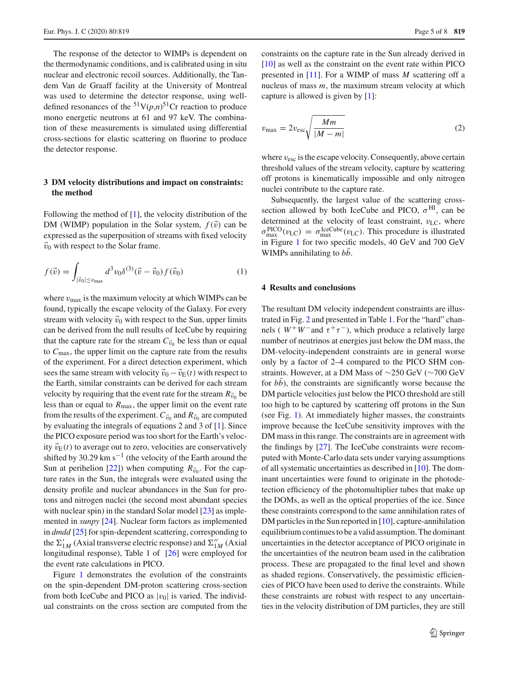The response of the detector to WIMPs is dependent on the thermodynamic conditions, and is calibrated using in situ nuclear and electronic recoil sources. Additionally, the Tandem Van de Graaff facility at the University of Montreal was used to determine the detector response, using welldefined resonances of the  $51V(p,n)$ <sup>51</sup>Cr reaction to produce mono energetic neutrons at 61 and 97 keV. The combination of these measurements is simulated using differential cross-sections for elastic scattering on fluorine to produce the detector response.

# **3 DM velocity distributions and impact on constraints: the method**

Following the method of  $[1]$  $[1]$ , the velocity distribution of the DM (WIMP) population in the Solar system,  $f(\vec{v})$  can be expressed as the superposition of streams with fixed velocity  $\vec{v}_0$  with respect to the Solar frame.

$$
f(\vec{v}) = \int_{|\vec{v}_0| \le v_{\text{max}}} d^3 v_0 \delta^{(3)}(\vec{v} - \vec{v}_0) f(\vec{v}_0)
$$
 (1)

where  $v_{\text{max}}$  is the maximum velocity at which WIMPs can be found, typically the escape velocity of the Galaxy. For every stream with velocity  $\vec{v}_0$  with respect to the Sun, upper limits can be derived from the null results of IceCube by requiring that the capture rate for the stream  $C_{\vec{v}_0}$  be less than or equal to *C*max, the upper limit on the capture rate from the results of the experiment. For a direct detection experiment, which sees the same stream with velocity  $\vec{v}_0 - \vec{v}_E(t)$  with respect to the Earth, similar constraints can be derived for each stream velocity by requiring that the event rate for the stream  $R_{\vec{v}_0}$  be less than or equal to  $R_{\text{max}}$ , the upper limit on the event rate from the results of the experiment.  $C_{\vec{v}_0}$  and  $R_{\vec{v}_0}$  are computed by evaluating the integrals of equations 2 and 3 of [\[1\]](#page-7-7). Since the PICO exposure period was too short for the Earth's velocity  $\vec{v}_E(t)$  to average out to zero, velocities are conservatively shifted by 30.29 km s<sup> $-1$ </sup> (the velocity of the Earth around the Sun at perihelion [\[22\]](#page-7-19)) when computing  $R_{\vec{v}_0}$ . For the capture rates in the Sun, the integrals were evaluated using the density profile and nuclear abundances in the Sun for protons and nitrogen nuclei (the second most abundant species with nuclear spin) in the standard Solar model [\[23](#page-7-20)] as implemented in *sunpy* [\[24](#page-7-21)]. Nuclear form factors as implemented in *dmdd* [\[25](#page-7-22)] for spin-dependent scattering, corresponding to the  $\Sigma'_{1M}$  (Axial transverse electric response) and  $\Sigma''_{1M}$  (Axial longitudinal response), Table 1 of [\[26\]](#page-7-23) were employed for the event rate calculations in PICO.

Figure [1](#page-5-0) demonstrates the evolution of the constraints on the spin-dependent DM-proton scattering cross-section from both IceCube and PICO as  $|v_0|$  is varied. The individual constraints on the cross section are computed from the constraints on the capture rate in the Sun already derived in [\[10](#page-7-8)] as well as the constraint on the event rate within PICO presented in [\[11\]](#page-7-9). For a WIMP of mass *M* scattering off a nucleus of mass *m*, the maximum stream velocity at which capture is allowed is given by [\[1](#page-7-7)]:

$$
v_{\text{max}} = 2v_{\text{esc}} \sqrt{\frac{Mm}{|M-m|}}
$$
 (2)

where  $v_{\text{esc}}$  is the escape velocity. Consequently, above certain threshold values of the stream velocity, capture by scattering off protons is kinematically impossible and only nitrogen nuclei contribute to the capture rate.

Subsequently, the largest value of the scattering crosssection allowed by both IceCube and PICO,  $\sigma^{HI}$ , can be determined at the velocity of least constraint,  $v_{\text{LC}}$ , where  $\sigma_{\text{max}}^{\text{PICO}}(v_{\text{LC}}) = \sigma_{\text{max}}^{\text{LeeCube}}(v_{\text{LC}})$ . This procedure is illustrated in Figure [1](#page-5-0) for two specific models, 40 GeV and 700 GeV WIMPs annihilating to *bb*.

## <span id="page-4-0"></span>**4 Results and conclusions**

The resultant DM velocity independent constraints are illustrated in Fig. [2](#page-5-1) and presented in Table [1.](#page-6-0) For the "hard" channels (  $W^+W^-$  and  $\tau^+\tau^-$ ), which produce a relatively large number of neutrinos at energies just below the DM mass, the DM-velocity-independent constraints are in general worse only by a factor of 2–4 compared to the PICO SHM constraints. However, at a DM Mass of ∼250 GeV (∼700 GeV for *bb*), the constraints are significantly worse because the DM particle velocities just below the PICO threshold are still too high to be captured by scattering off protons in the Sun (see Fig. [1\)](#page-5-0). At immediately higher masses, the constraints improve because the IceCube sensitivity improves with the DM mass in this range. The constraints are in agreement with the findings by [\[27](#page-7-24)]. The IceCube constraints were recomputed with Monte-Carlo data sets under varying assumptions of all systematic uncertainties as described in [\[10](#page-7-8)]. The dominant uncertainties were found to originate in the photodetection efficiency of the photomultiplier tubes that make up the DOMs, as well as the optical properties of the ice. Since these constraints correspond to the same annihilation rates of DM particles in the Sun reported in [\[10\]](#page-7-8), capture-annihilation equilibrium continues to be a valid assumption. The dominant uncertainties in the detector acceptance of PICO originate in the uncertainties of the neutron beam used in the calibration process. These are propagated to the final level and shown as shaded regions. Conservatively, the pessimistic efficiencies of PICO have been used to derive the constraints. While these constraints are robust with respect to any uncertainties in the velocity distribution of DM particles, they are still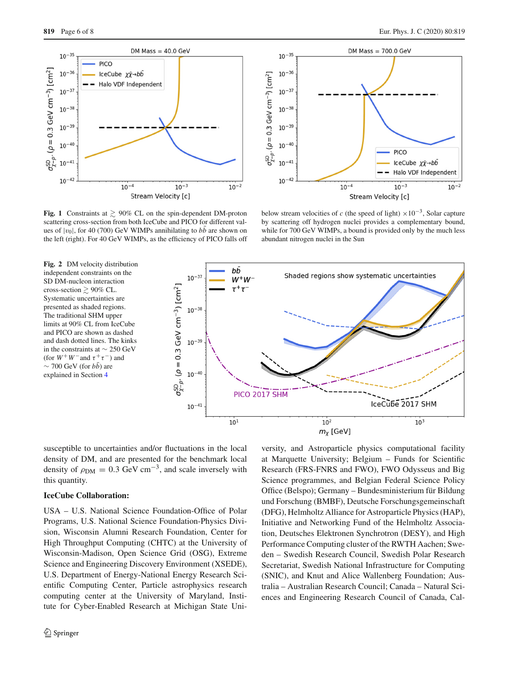



<span id="page-5-0"></span>**Fig. 1** Constraints at  $\geq 90\%$  CL on the spin-dependent DM-proton scattering cross-section from both IceCube and PICO for different values of  $|v_0|$ , for 40 (700) GeV WIMPs annihilating to  $b\bar{b}$  are shown on the left (right). For 40 GeV WIMPs, as the efficiency of PICO falls off

below stream velocities of *c* (the speed of light)  $\times 10^{-3}$ , Solar capture by scattering off hydrogen nuclei provides a complementary bound, while for 700 GeV WIMPs, a bound is provided only by the much less abundant nitrogen nuclei in the Sun

<span id="page-5-1"></span>

susceptible to uncertainties and/or fluctuations in the local density of DM, and are presented for the benchmark local density of  $\rho_{DM} = 0.3$  GeV cm<sup>-3</sup>, and scale inversely with this quantity.

## **IceCube Collaboration:**

USA – U.S. National Science Foundation-Office of Polar Programs, U.S. National Science Foundation-Physics Division, Wisconsin Alumni Research Foundation, Center for High Throughput Computing (CHTC) at the University of Wisconsin-Madison, Open Science Grid (OSG), Extreme Science and Engineering Discovery Environment (XSEDE), U.S. Department of Energy-National Energy Research Scientific Computing Center, Particle astrophysics research computing center at the University of Maryland, Institute for Cyber-Enabled Research at Michigan State Uni-

versity, and Astroparticle physics computational facility at Marquette University; Belgium – Funds for Scientific Research (FRS-FNRS and FWO), FWO Odysseus and Big Science programmes, and Belgian Federal Science Policy Office (Belspo); Germany – Bundesministerium für Bildung und Forschung (BMBF), Deutsche Forschungsgemeinschaft (DFG), Helmholtz Alliance for Astroparticle Physics (HAP), Initiative and Networking Fund of the Helmholtz Association, Deutsches Elektronen Synchrotron (DESY), and High Performance Computing cluster of the RWTH Aachen; Sweden – Swedish Research Council, Swedish Polar Research Secretariat, Swedish National Infrastructure for Computing (SNIC), and Knut and Alice Wallenberg Foundation; Australia – Australian Research Council; Canada – Natural Sciences and Engineering Research Council of Canada, Cal-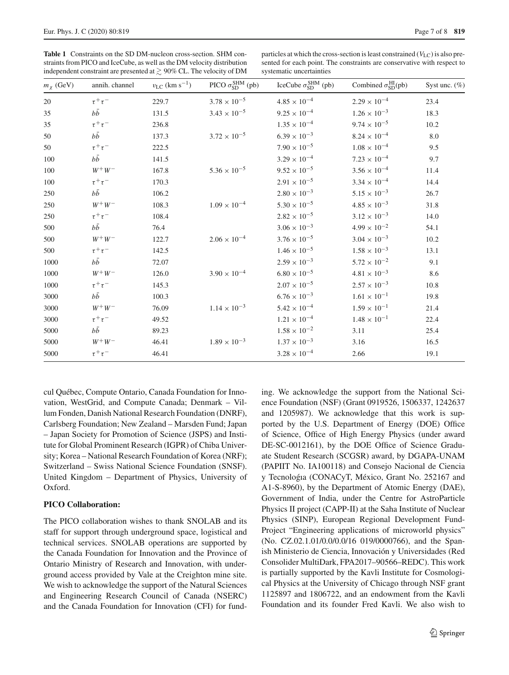<span id="page-6-0"></span>**Table 1** Constraints on the SD DM-nucleon cross-section. SHM constraints from PICO and IceCube, as well as the DM velocity distribution independent constraint are presented at  $\geq 90\%$  CL. The velocity of DM

particles at which the cross-section is least constrained  $(V_{\text{LC}})$  is also presented for each point. The constraints are conservative with respect to systematic uncertainties

| $m_\chi$ (GeV) | annih. channel | $v_{\rm LC}$ (km s <sup>-1</sup> ) | PICO $\sigma_{SD}^{SHM}$ (pb) | IceCube $\sigma_{SD}^{SHM}$ (pb) | Combined $\sigma_{SD}^{HI}(pb)$ | Syst unc. $(\%)$ |
|----------------|----------------|------------------------------------|-------------------------------|----------------------------------|---------------------------------|------------------|
| 20             | $\tau^+\tau^-$ | 229.7                              | $3.78 \times 10^{-5}$         | $4.85\times10^{-4}$              | $2.29 \times 10^{-4}$           | 23.4             |
| 35             | $b\bar{b}$     | 131.5                              | $3.43 \times 10^{-5}$         | $9.25\times10^{-4}$              | $1.26 \times 10^{-3}$           | 18.3             |
| 35             | $\tau^+\tau^-$ | 236.8                              |                               | $1.35\times10^{-4}$              | $9.74 \times 10^{-5}$           | 10.2             |
| 50             | $b\bar{b}$     | 137.3                              | $3.72 \times 10^{-5}$         | $6.39 \times 10^{-3}$            | $8.24\times10^{-4}$             | 8.0              |
| 50             | $\tau^+\tau^-$ | 222.5                              |                               | $7.90 \times 10^{-5}$            | $1.08\times10^{-4}$             | 9.5              |
| 100            | $b\bar{b}$     | 141.5                              |                               | $3.29\times10^{-4}$              | $7.23 \times 10^{-4}$           | 9.7              |
| 100            | $W^+ \, W^-$   | 167.8                              | $5.36 \times 10^{-5}$         | $9.52 \times 10^{-5}$            | $3.56 \times 10^{-4}$           | 11.4             |
| 100            | $\tau^+\tau^-$ | 170.3                              |                               | $2.91 \times 10^{-5}$            | $3.34\times10^{-4}$             | 14.4             |
| 250            | $b\bar{b}$     | 106.2                              |                               | $2.80\times10^{-3}$              | $5.15 \times 10^{-3}$           | 26.7             |
| 250            | $W^+W^-$       | 108.3                              | $1.09 \times 10^{-4}$         | $5.30 \times 10^{-5}$            | $4.85 \times 10^{-3}$           | 31.8             |
| 250            | $\tau^+\tau^-$ | 108.4                              |                               | $2.82 \times 10^{-5}$            | $3.12\times10^{-3}$             | 14.0             |
| 500            | $b\bar{b}$     | 76.4                               |                               | $3.06\times10^{-3}$              | $4.99 \times 10^{-2}$           | 54.1             |
| 500            | $W^+W^-$       | 122.7                              | $2.06 \times 10^{-4}$         | $3.76 \times 10^{-5}$            | $3.04 \times 10^{-3}$           | 10.2             |
| 500            | $\tau^+\tau^-$ | 142.5                              |                               | $1.46 \times 10^{-5}$            | $1.58 \times 10^{-3}$           | 13.1             |
| 1000           | $b\bar{b}$     | 72.07                              |                               | $2.59 \times 10^{-3}$            | $5.72 \times 10^{-2}$           | 9.1              |
| 1000           | $W^+ \, W^-$   | 126.0                              | $3.90 \times 10^{-4}$         | $6.80\times10^{-5}$              | $4.81\times10^{-3}$             | 8.6              |
| 1000           | $\tau^+\tau^-$ | 145.3                              |                               | $2.07 \times 10^{-5}$            | $2.57 \times 10^{-3}$           | 10.8             |
| 3000           | $b\bar{b}$     | 100.3                              |                               | $6.76 \times 10^{-3}$            | $1.61 \times 10^{-1}$           | 19.8             |
| 3000           | $W^+W^-$       | 76.09                              | $1.14 \times 10^{-3}$         | $5.42\times10^{-4}$              | $1.59 \times 10^{-1}$           | 21.4             |
| 3000           | $\tau^+\tau^-$ | 49.52                              |                               | $1.21\times10^{-4}$              | $1.48 \times 10^{-1}$           | 22.4             |
| 5000           | $b\bar{b}$     | 89.23                              |                               | $1.58 \times 10^{-2}$            | 3.11                            | 25.4             |
| 5000           | $W^+W^-$       | 46.41                              | $1.89 \times 10^{-3}$         | $1.37\times10^{-3}$              | 3.16                            | 16.5             |
| 5000           | $\tau^+\tau^-$ | 46.41                              |                               | $3.28\times10^{-4}$              | 2.66                            | 19.1             |

cul Québec, Compute Ontario, Canada Foundation for Innovation, WestGrid, and Compute Canada; Denmark – Villum Fonden, Danish National Research Foundation (DNRF), Carlsberg Foundation; New Zealand – Marsden Fund; Japan – Japan Society for Promotion of Science (JSPS) and Institute for Global Prominent Research (IGPR) of Chiba University; Korea – National Research Foundation of Korea (NRF); Switzerland – Swiss National Science Foundation (SNSF). United Kingdom – Department of Physics, University of Oxford.

# **PICO Collaboration:**

The PICO collaboration wishes to thank SNOLAB and its staff for support through underground space, logistical and technical services. SNOLAB operations are supported by the Canada Foundation for Innovation and the Province of Ontario Ministry of Research and Innovation, with underground access provided by Vale at the Creighton mine site. We wish to acknowledge the support of the Natural Sciences and Engineering Research Council of Canada (NSERC) and the Canada Foundation for Innovation (CFI) for funding. We acknowledge the support from the National Science Foundation (NSF) (Grant 0919526, 1506337, 1242637 and 1205987). We acknowledge that this work is supported by the U.S. Department of Energy (DOE) Office of Science, Office of High Energy Physics (under award DE-SC-0012161), by the DOE Office of Science Graduate Student Research (SCGSR) award, by DGAPA-UNAM (PAPIIT No. IA100118) and Consejo Nacional de Ciencia y Tecnologia (CONACyT, México, Grant No. 252167 and A1-S-8960), by the Department of Atomic Energy (DAE), Government of India, under the Centre for AstroParticle Physics II project (CAPP-II) at the Saha Institute of Nuclear Physics (SINP), European Regional Development Fund-Project "Engineering applications of microworld physics" (No. CZ.02.1.01/0.0/0.0/16 019/0000766), and the Spanish Ministerio de Ciencia, Innovación y Universidades (Red Consolider MultiDark, FPA2017–90566–REDC). This work is partially supported by the Kavli Institute for Cosmological Physics at the University of Chicago through NSF grant 1125897 and 1806722, and an endowment from the Kavli Foundation and its founder Fred Kavli. We also wish to